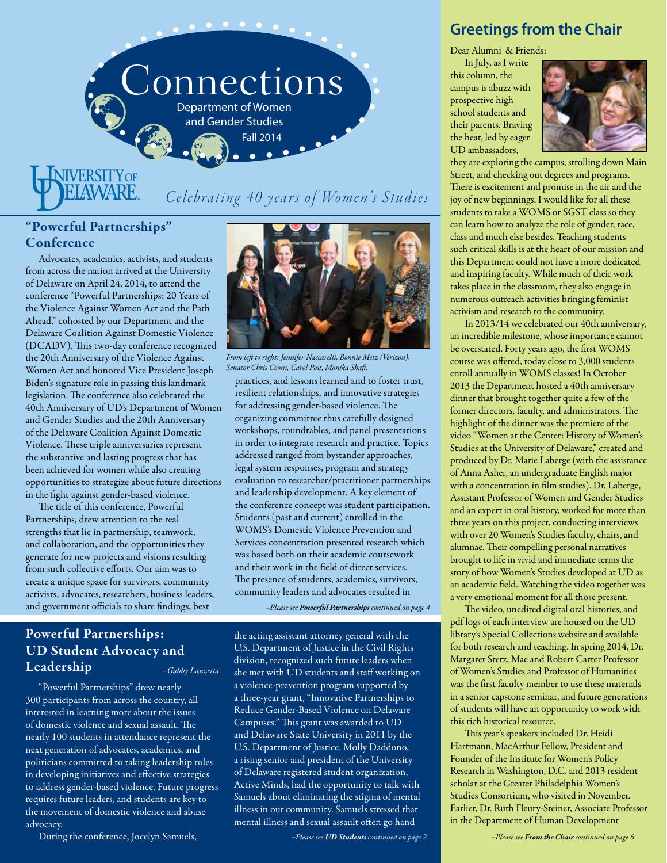

# **NIVERSITY OF** LAWARE

# Celebrating 40 years of Women's Studies

# "Powerful Partnerships" Conference

Advocates, academics, activists, and students from across the nation arrived at the University of Delaware on April 24, 2014, to attend the conference "Powerful Partnerships: 20 Years of the Violence Against Women Act and the Path Ahead," cohosted by our Department and the Delaware Coalition Against Domestic Violence (DCADV). This two-day conference recognized the 20th Anniversary of the Violence Against Women Act and honored Vice President Joseph Biden's signature role in passing this landmark legislation. The conference also celebrated the 40th Anniversary of UD's Department of Women and Gender Studies and the 20th Anniversary of the Delaware Coalition Against Domestic Violence. These triple anniversaries represent the substantive and lasting progress that has been achieved for women while also creating opportunities to strategize about future directions in the fight against gender-based violence.

The title of this conference, Powerful Partnerships, drew attention to the real strengths that lie in partnership, teamwork, and collaboration, and the opportunities they generate for new projects and visions resulting from such collective efforts. Our aim was to create a unique space for survivors, community activists, advocates, researchers, business leaders, and government officials to share findings, best



practices, and lessons learned and to foster trust, resilient relationships, and innovative strategies for addressing gender-based violence. The organizing committee thus carefully designed workshops, roundtables, and panel presentations in order to integrate research and practice. Topics addressed ranged from bystander approaches, legal system responses, program and strategy evaluation to researcher/practitioner partnerships and leadership development. A key element of the conference concept was student participation. Students (past and current) enrolled in the WOMS's Domestic Violence Prevention and Services concentration presented research which *From left to right: Jennifer Naccarelli, Bonnie Metz (Verizon), Senator Chris Coons, Carol Post, Monika Shafi.*

was based both on their academic coursework and their work in the field of direct services. The presence of students, academics, survivors, community leaders and advocates resulted in

*–Please see Powerful Partnerships continued on page 4*

# Powerful Partnerships: UD Student Advocacy and Leadership *–Gabby Lanzetta*

"Powerful Partnerships" drew nearly 300 participants from across the country, all interested in learning more about the issues of domestic violence and sexual assault. The nearly 100 students in attendance represent the next generation of advocates, academics, and politicians committed to taking leadership roles in developing initiatives and effective strategies to address gender-based violence. Future progress requires future leaders, and students are key to the movement of domestic violence and abuse advocacy.

1 • During the conference, Jocelyn Samuels, Fall 2014 of Delaware, Fall 2014

U.S. Department of Justice in the Civil Rights division, recognized such future leaders when she met with UD students and staff working on a violence-prevention program supported by a three-year grant, "Innovative Partnerships to Reduce Gender-Based Violence on Delaware Campuses." This grant was awarded to UD and Delaware State University in 2011 by the U.S. Department of Justice. Molly Daddono, a rising senior and president of the University of Delaware registered student organization, Active Minds, had the opportunity to talk with Samuels about eliminating the stigma of mental illness in our community. Samuels stressed that

mental illness and sexual assault often go hand

the acting assistant attorney general with the

*–Please see UD Students continued on page 2*

# **Greetings from the Chair**

Dear Alumni & Friends:

In July, as I write this column, the campus is abuzz with prospective high school students and their parents. Braving the heat, led by eager UD ambassadors,



they are exploring the campus, strolling down Main Street, and checking out degrees and programs. There is excitement and promise in the air and the joy of new beginnings. I would like for all these students to take a WOMS or SGST class so they can learn how to analyze the role of gender, race, class and much else besides. Teaching students such critical skills is at the heart of our mission and this Department could not have a more dedicated and inspiring faculty. While much of their work takes place in the classroom, they also engage in numerous outreach activities bringing feminist activism and research to the community.

In 2013/14 we celebrated our 40th anniversary, an incredible milestone, whose importance cannot be overstated. Forty years ago, the first WOMS course was offered, today close to 3,000 students enroll annually in WOMS classes! In October 2013 the Department hosted a 40th anniversary dinner that brought together quite a few of the former directors, faculty, and administrators. The highlight of the dinner was the premiere of the video "Women at the Center: History of Women's Studies at the University of Delaware," created and produced by Dr. Marie Laberge (with the assistance of Anna Asher, an undergraduate English major with a concentration in film studies). Dr. Laberge, Assistant Professor of Women and Gender Studies and an expert in oral history, worked for more than three years on this project, conducting interviews with over 20 Women's Studies faculty, chairs, and alumnae. Their compelling personal narratives brought to life in vivid and immediate terms the story of how Women's Studies developed at UD as an academic field. Watching the video together was a very emotional moment for all those present.

The video, unedited digital oral histories, and pdf logs of each interview are housed on the UD library's Special Collections website and available for both research and teaching. In spring 2014, Dr. Margaret Stetz, Mae and Robert Carter Professor of Women's Studies and Professor of Humanities was the first faculty member to use these materials in a senior capstone seminar, and future generations of students will have an opportunity to work with this rich historical resource.

This year's speakers included Dr. Heidi Hartmann, MacArthur Fellow, President and Founder of the Institute for Women's Policy Research in Washington, D.C. and 2013 resident scholar at the Greater Philadelphia Women's Studies Consortium, who visited in November. Earlier, Dr. Ruth Fleury-Steiner, Associate Professor in the Department of Human Development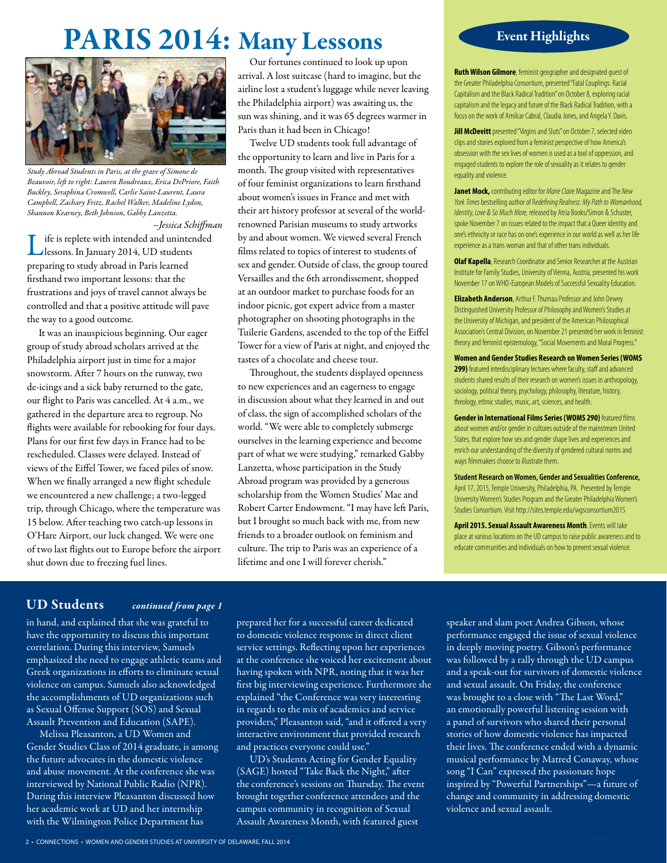# PARIS 2014: Many Lessons



*Study Abroad Students in Paris, at the grave of Simone de Beauvoir, left to right: Lauren Boudreaux, Erica DePriore, Faith Buckley, Seraphina Cromwell, Carlie Saint-Laurent, Laura Campbell, Zachary Fritz, Rachel Walker, Madeline Lydon, Shannon Kearney, Beth Johnson, Gabby Lanzetta.*

*–Jessica Schiffman* ife is replete with intended and unintended lessons. In January 2014, UD students preparing to study abroad in Paris learned firsthand two important lessons: that the frustrations and joys of travel cannot always be controlled and that a positive attitude will pave the way to a good outcome.

It was an inauspicious beginning. Our eager group of study abroad scholars arrived at the Philadelphia airport just in time for a major snowstorm. After 7 hours on the runway, two de-icings and a sick baby returned to the gate, our flight to Paris was cancelled. At 4 a.m., we gathered in the departure area to regroup. No flights were available for rebooking for four days. Plans for our first few days in France had to be rescheduled. Classes were delayed. Instead of views of the Eiffel Tower, we faced piles of snow. When we finally arranged a new flight schedule we encountered a new challenge; a two-legged trip, through Chicago, where the temperature was 15 below. After teaching two catch-up lessons in O'Hare Airport, our luck changed. We were one of two last flights out to Europe before the airport shut down due to freezing fuel lines.

Our fortunes continued to look up upon arrival. A lost suitcase (hard to imagine, but the airline lost a student's luggage while never leaving the Philadelphia airport) was awaiting us, the sun was shining, and it was 65 degrees warmer in Paris than it had been in Chicago!

Twelve UD students took full advantage of the opportunity to learn and live in Paris for a month. The group visited with representatives of four feminist organizations to learn firsthand about women's issues in France and met with their art history professor at several of the worldrenowned Parisian museums to study artworks by and about women. We viewed several French films related to topics of interest to students of sex and gender. Outside of class, the group toured Versailles and the 6th arrondissement, shopped at an outdoor market to purchase foods for an indoor picnic, got expert advice from a master photographer on shooting photographs in the Tuilerie Gardens, ascended to the top of the Eiffel Tower for a view of Paris at night, and enjoyed the tastes of a chocolate and cheese tour.

Throughout, the students displayed openness to new experiences and an eagerness to engage in discussion about what they learned in and out of class, the sign of accomplished scholars of the world. "We were able to completely submerge ourselves in the learning experience and become part of what we were studying," remarked Gabby Lanzetta, whose participation in the Study Abroad program was provided by a generous scholarship from the Women Studies' Mae and Robert Carter Endowment. "I may have left Paris, but I brought so much back with me, from new friends to a broader outlook on feminism and culture. The trip to Paris was an experience of a lifetime and one I will forever cherish."

# Event Highlights

**Ruth Wilson Gilmore**, feminist geographer and designated guest of the Greater Philadelphia Consortium, presented "Fatal Couplings: Racial Capitalism and the Black Radical Tradition" on October 8, exploring racial capitalism and the legacy and future of the Black Radical Tradition, with a focus on the work of Amilcar Cabral, Claudia Jones, and Angela Y. Davis.

**Jill McDevitt** presented "Virgins and Sluts" on October 7, selected video clips and stories explored from a feminist perspective of how America's obsession with the sex lives of women is used as a tool of oppression, and engaged students to explore the role of sexuality as it relates to gender equality and violence.

**Janet Mock,** contributing editor for *Marie Claire* Magazine and The *New York Times* bestselling author of R*edefining Realness: My Path to Womanhood, Identity, Love & So Much More,* released by Atria Books/Simon & Schuster, spoke November 7 on issues related to the impact that a Queer identity and one's ethnicity or race has on one's experience in our world as well as her life experience as a trans woman and that of other trans individuals.

**Olaf Kapella**, Research Coordinator and Senior Researcher at the Austrian Institute for Family Studies, University of Vienna, Austria, presented his work November 17 on WHO-European Models of Successful Sexuality Education.

**Elizabeth Anderson**, Arthur F. Thurnau Professor and John Dewey Distinguished University Professor of Philosophy and Women's Studies at the University of Michigan, and president of the American Philosophical Association's Central Division, on November 21 presented her work in feminist theory and feminist epistemology, "Social Movements and Moral Progress."

**Women and Gender Studies Research on Women Series (WOMS 299)** featured interdisciplinary lectures where faculty, staff and advanced students shared results of their research on women's issues in anthropology, sociology, political theory, psychology, philosophy, literature, history, theology, ethnic studies, music, art, sciences, and health.

**Gender in International Films Series (WOMS 290)** featured films about women and/or gender in cultures outside of the mainstream United States, that explore how sex and gender shape lives and experiences and enrich our understanding of the diversity of gendered cultural norms and ways filmmakers choose to illustrate them.

**Student Research on Women, Gender and Sexualities Conference,** April 17, 2015, Temple University, Philadelphia, PA. Presented by Temple University Women's Studies Program and the Greater Philadelphia Women's Studies Consortium. Visit http://sites.temple.edu/wgsconsortium2015

**April 2015. Sexual Assault Awareness Month**. Events will take place at various locations on the UD campus to raise public awareness and to educate communities and individuals on how to prevent sexual violence.

# UD Students *continued from page 1*

in hand, and explained that she was grateful to have the opportunity to discuss this important correlation. During this interview, Samuels emphasized the need to engage athletic teams and Greek organizations in efforts to eliminate sexual violence on campus. Samuels also acknowledged the accomplishments of UD organizations such as Sexual Offense Support (SOS) and Sexual Assault Prevention and Education (SAPE).

Melissa Pleasanton, a UD Women and Gender Studies Class of 2014 graduate, is among the future advocates in the domestic violence and abuse movement. At the conference she was interviewed by National Public Radio (NPR). During this interview Pleasanton discussed how her academic work at UD and her internship with the Wilmington Police Department has

prepared her for a successful career dedicated to domestic violence response in direct client service settings. Reflecting upon her experiences at the conference she voiced her excitement about having spoken with NPR, noting that it was her first big interviewing experience. Furthermore she explained "the Conference was very interesting in regards to the mix of academics and service providers," Pleasanton said, "and it offered a very interactive environment that provided research and practices everyone could use."

UD's Students Acting for Gender Equality (SAGE) hosted "Take Back the Night," after the conference's sessions on Thursday. The event brought together conference attendees and the campus community in recognition of Sexual Assault Awareness Month, with featured guest

speaker and slam poet Andrea Gibson, whose performance engaged the issue of sexual violence in deeply moving poetry. Gibson's performance was followed by a rally through the UD campus and a speak-out for survivors of domestic violence and sexual assault. On Friday, the conference was brought to a close with "The Last Word," an emotionally powerful listening session with a panel of survivors who shared their personal stories of how domestic violence has impacted their lives. The conference ended with a dynamic musical performance by Matred Conaway, whose song "I Can" expressed the passionate hope inspired by "Powerful Partnerships"—a future of change and community in addressing domestic violence and sexual assault.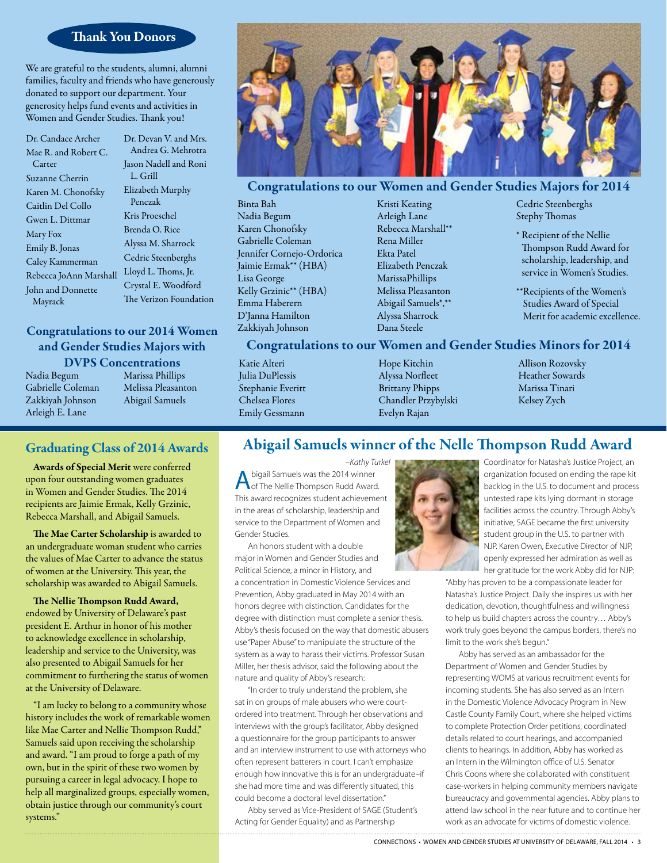## Thank You Donors

We are grateful to the students, alumni, alumni families, faculty and friends who have generously donated to support our department. Your generosity helps fund events and activities in Women and Gender Studies. Thank you!

Dr. Candace Archer Mae R. and Robert C. Carter Suzanne Cherrin Karen M. Chonofsky Caitlin Del Collo Gwen L. Dittmar Mary Fox Emily B. Jonas Caley Kammerman Rebecca JoAnn Marshall John and Donnette Mayrack

Dr. Devan V. and Mrs. Andrea G. Mehrotra Jason Nadell and Roni L. Grill Elizabeth Murphy Penczak Kris Proeschel Brenda O. Rice Alyssa M. Sharrock Cedric Steenberghs Lloyd L. Thoms, Jr. Crystal E. Woodford The Verizon Foundation

# Congratulations to our 2014 Women and Gender Studies Majors with

Nadia Begum Gabrielle Coleman Zakkiyah Johnson Arleigh E. Lane

DVPS Concentrations

Marissa Phillips Melissa Pleasanton Abigail Samuels

# Graduating Class of 2014 Awards

Awards of Special Merit were conferred upon four outstanding women graduates in Women and Gender Studies. The 2014 recipients are Jaimie Ermak, Kelly Grzinic, Rebecca Marshall, and Abigail Samuels.

The Mae Carter Scholarship is awarded to an undergraduate woman student who carries the values of Mae Carter to advance the status of women at the University. This year, the scholarship was awarded to Abigail Samuels.

The Nellie Thompson Rudd Award, endowed by University of Delaware's past president E. Arthur in honor of his mother to acknowledge excellence in scholarship, leadership and service to the University, was also presented to Abigail Samuels for her commitment to furthering the status of women at the University of Delaware.

"I am lucky to belong to a community whose history includes the work of remarkable women like Mae Carter and Nellie Thompson Rudd," Samuels said upon receiving the scholarship and award. "I am proud to forge a path of my own, but in the spirit of these two women by pursuing a career in legal advocacy. I hope to help all marginalized groups, especially women, obtain justice through our community's court systems."



# Congratulations to our Women and Gender Studies Majors for 2014

Binta Bah Nadia Begum Karen Chonofsky Gabrielle Coleman Jennifer Cornejo-Ordorica Jaimie Ermak\*\* (HBA) Lisa George Kelly Grzinic\*\* (HBA) Emma Haberern D'Janna Hamilton Zakkiyah Johnson

Kristi Keating Arleigh Lane Rebecca Marshall\*\* Rena Miller Ekta Patel Elizabeth Penczak MarissaPhillips Melissa Pleasanton Abigail Samuels\*,\*\* Alyssa Sharrock Dana Steele

Cedric Steenberghs Stephy Thomas

- \* Recipient of the Nellie Thompson Rudd Award for scholarship, leadership, and service in Women's Studies.
- \*\*Recipients of the Women's Studies Award of Special Merit for academic excellence.

## Congratulations to our Women and Gender Studies Minors for 2014

Katie Alteri Julia DuPlessis Stephanie Everitt Chelsea Flores Emily Gessmann

Hope Kitchin Alyssa Norfleet Brittany Phipps Chandler Przybylski Evelyn Rajan

Allison Rozovsky Heather Sowards Marissa Tinari Kelsey Zych

# Abigail Samuels winner of the Nelle Thompson Rudd Award

*–Kathy Turkel* A bigail Samuels was the 2014 winner<br>A of The Nellie Thompson Rudd Award. This award recognizes student achievement in the areas of scholarship, leadership and service to the Department of Women and Gender Studies.

An honors student with a double major in Women and Gender Studies and Political Science, a minor in History, and

a concentration in Domestic Violence Services and Prevention, Abby graduated in May 2014 with an honors degree with distinction. Candidates for the degree with distinction must complete a senior thesis. Abby's thesis focused on the way that domestic abusers use "Paper Abuse" to manipulate the structure of the system as a way to harass their victims. Professor Susan Miller, her thesis advisor, said the following about the nature and quality of Abby's research:

"In order to truly understand the problem, she sat in on groups of male abusers who were courtordered into treatment. Through her observations and interviews with the group's facilitator, Abby designed a questionnaire for the group participants to answer and an interview instrument to use with attorneys who often represent batterers in court. I can't emphasize enough how innovative this is for an undergraduate–if she had more time and was differently situated, this could become a doctoral level dissertation."

Abby served as Vice-President of SAGE (Student's Acting for Gender Equality) and as Partnership



Coordinator for Natasha's Justice Project, an organization focused on ending the rape kit backlog in the U.S. to document and process untested rape kits lying dormant in storage facilities across the country. Through Abby's initiative, SAGE became the first university student group in the U.S. to partner with NJP. Karen Owen, Executive Director of NJP, openly expressed her admiration as well as her gratitude for the work Abby did for NJP:

"Abby has proven to be a compassionate leader for Natasha's Justice Project. Daily she inspires us with her dedication, devotion, thoughtfulness and willingness to help us build chapters across the country… Abby's work truly goes beyond the campus borders, there's no limit to the work she's begun."

Abby has served as an ambassador for the Department of Women and Gender Studies by representing WOMS at various recruitment events for incoming students. She has also served as an Intern in the Domestic Violence Advocacy Program in New Castle County Family Court, where she helped victims to complete Protection Order petitions, coordinated details related to court hearings, and accompanied clients to hearings. In addition, Abby has worked as an Intern in the Wilmington office of U.S. Senator Chris Coons where she collaborated with constituent case-workers in helping community members navigate bureaucracy and governmental agencies. Abby plans to attend law school in the near future and to continue her work as an advocate for victims of domestic violence.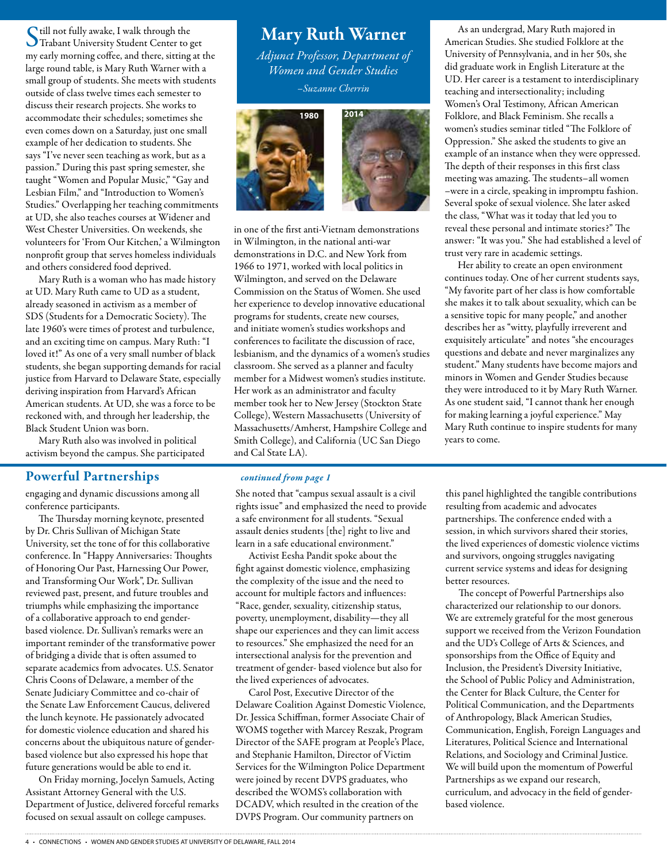Still not fully awake, I walk through the Trabant University Student Center to get my early morning coffee, and there, sitting at the large round table, is Mary Ruth Warner with a small group of students. She meets with students outside of class twelve times each semester to discuss their research projects. She works to accommodate their schedules; sometimes she even comes down on a Saturday, just one small example of her dedication to students. She says "I've never seen teaching as work, but as a passion." During this past spring semester, she taught "Women and Popular Music," "Gay and Lesbian Film," and "Introduction to Women's Studies." Overlapping her teaching commitments at UD, she also teaches courses at Widener and West Chester Universities. On weekends, she volunteers for 'From Our Kitchen,' a Wilmington nonprofit group that serves homeless individuals and others considered food deprived.

Mary Ruth is a woman who has made history at UD. Mary Ruth came to UD as a student, already seasoned in activism as a member of SDS (Students for a Democratic Society). The late 1960's were times of protest and turbulence, and an exciting time on campus. Mary Ruth: "I loved it!" As one of a very small number of black students, she began supporting demands for racial justice from Harvard to Delaware State, especially deriving inspiration from Harvard's African American students. At UD, she was a force to be reckoned with, and through her leadership, the Black Student Union was born.

Mary Ruth also was involved in political activism beyond the campus. She participated

### Powerful Partnerships *continued from page 1*

engaging and dynamic discussions among all conference participants.

The Thursday morning keynote, presented by Dr. Chris Sullivan of Michigan State University, set the tone of for this collaborative conference. In "Happy Anniversaries: Thoughts of Honoring Our Past, Harnessing Our Power, and Transforming Our Work", Dr. Sullivan reviewed past, present, and future troubles and triumphs while emphasizing the importance of a collaborative approach to end genderbased violence. Dr. Sullivan's remarks were an important reminder of the transformative power of bridging a divide that is often assumed to separate academics from advocates. U.S. Senator Chris Coons of Delaware, a member of the Senate Judiciary Committee and co-chair of the Senate Law Enforcement Caucus, delivered the lunch keynote. He passionately advocated for domestic violence education and shared his concerns about the ubiquitous nature of genderbased violence but also expressed his hope that future generations would be able to end it.

On Friday morning, Jocelyn Samuels, Acting Assistant Attorney General with the U.S. Department of Justice, delivered forceful remarks focused on sexual assault on college campuses.

# Mary Ruth Warner

*Adjunct Professor, Department of Women and Gender Studies –Suzanne Cherrin* 



in one of the first anti-Vietnam demonstrations in Wilmington, in the national anti-war demonstrations in D.C. and New York from 1966 to 1971, worked with local politics in Wilmington, and served on the Delaware Commission on the Status of Women. She used her experience to develop innovative educational programs for students, create new courses, and initiate women's studies workshops and conferences to facilitate the discussion of race, lesbianism, and the dynamics of a women's studies classroom. She served as a planner and faculty member for a Midwest women's studies institute. Her work as an administrator and faculty

member took her to New Jersey (Stockton State College), Western Massachusetts (University of Massachusetts/Amherst, Hampshire College and Smith College), and California (UC San Diego and Cal State LA).

She noted that "campus sexual assault is a civil rights issue" and emphasized the need to provide a safe environment for all students. "Sexual assault denies students [the] right to live and learn in a safe educational environment."

Activist Eesha Pandit spoke about the fight against domestic violence, emphasizing the complexity of the issue and the need to account for multiple factors and influences: "Race, gender, sexuality, citizenship status, poverty, unemployment, disability—they all shape our experiences and they can limit access to resources." She emphasized the need for an intersectional analysis for the prevention and treatment of gender- based violence but also for the lived experiences of advocates.

Carol Post, Executive Director of the Delaware Coalition Against Domestic Violence, Dr. Jessica Schiffman, former Associate Chair of WOMS together with Marcey Reszak, Program Director of the SAFE program at People's Place, and Stephanie Hamilton, Director of Victim Services for the Wilmington Police Department were joined by recent DVPS graduates, who described the WOMS's collaboration with DCADV, which resulted in the creation of the DVPS Program. Our community partners on

As an undergrad, Mary Ruth majored in American Studies. She studied Folklore at the University of Pennsylvania, and in her 50s, she did graduate work in English Literature at the UD. Her career is a testament to interdisciplinary teaching and intersectionality; including Women's Oral Testimony, African American Folklore, and Black Feminism. She recalls a women's studies seminar titled "The Folklore of Oppression." She asked the students to give an example of an instance when they were oppressed. The depth of their responses in this first class meeting was amazing. The students–all women –were in a circle, speaking in impromptu fashion. Several spoke of sexual violence. She later asked the class, "What was it today that led you to reveal these personal and intimate stories?" The answer: "It was you." She had established a level of trust very rare in academic settings.

Her ability to create an open environment continues today. One of her current students says, "My favorite part of her class is how comfortable she makes it to talk about sexuality, which can be a sensitive topic for many people," and another describes her as "witty, playfully irreverent and exquisitely articulate" and notes "she encourages questions and debate and never marginalizes any student." Many students have become majors and minors in Women and Gender Studies because they were introduced to it by Mary Ruth Warner. As one student said, "I cannot thank her enough for making learning a joyful experience." May Mary Ruth continue to inspire students for many years to come.

this panel highlighted the tangible contributions resulting from academic and advocates partnerships. The conference ended with a session, in which survivors shared their stories, the lived experiences of domestic violence victims and survivors, ongoing struggles navigating current service systems and ideas for designing better resources.

The concept of Powerful Partnerships also characterized our relationship to our donors. We are extremely grateful for the most generous support we received from the Verizon Foundation and the UD's College of Arts & Sciences, and sponsorships from the Office of Equity and Inclusion, the President's Diversity Initiative, the School of Public Policy and Administration, the Center for Black Culture, the Center for Political Communication, and the Departments of Anthropology, Black American Studies, Communication, English, Foreign Languages and Literatures, Political Science and International Relations, and Sociology and Criminal Justice. We will build upon the momentum of Powerful Partnerships as we expand our research, curriculum, and advocacy in the field of genderbased violence.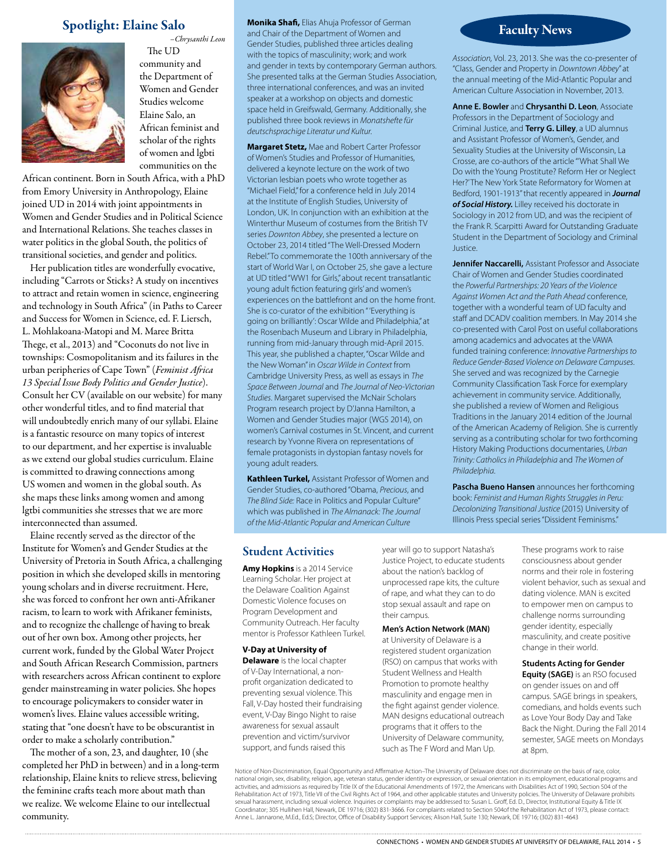

*–Chrysanthi Leon* The UD community and the Department of Women and Gender Studies welcome Elaine Salo, an African feminist and scholar of the rights of women and lgbti communities on the

African continent. Born in South Africa, with a PhD from Emory University in Anthropology, Elaine joined UD in 2014 with joint appointments in Women and Gender Studies and in Political Science and International Relations. She teaches classes in water politics in the global South, the politics of transitional societies, and gender and politics.

Her publication titles are wonderfully evocative, including "Carrots or Sticks? A study on incentives to attract and retain women in science, engineering and technology in South Africa" (in Paths to Career and Success for Women in Science, ed. F. Liersch, L. Mohlakoana-Matopi and M. Maree Britta Thege, et al., 2013) and "Coconuts do not live in townships: Cosmopolitanism and its failures in the urban peripheries of Cape Town" (*Feminist Africa 13 Special Issue Body Politics and Gender Justice*). Consult her CV (available on our website) for many other wonderful titles, and to find material that will undoubtedly enrich many of our syllabi. Elaine is a fantastic resource on many topics of interest to our department, and her expertise is invaluable as we extend our global studies curriculum. Elaine is committed to drawing connections among US women and women in the global south. As she maps these links among women and among lgtbi communities she stresses that we are more interconnected than assumed.

Elaine recently served as the director of the Institute for Women's and Gender Studies at the University of Pretoria in South Africa, a challenging position in which she developed skills in mentoring young scholars and in diverse recruitment. Here, she was forced to confront her own anti-Afrikaner racism, to learn to work with Afrikaner feminists, and to recognize the challenge of having to break out of her own box. Among other projects, her current work, funded by the Global Water Project and South African Research Commission, partners with researchers across African continent to explore gender mainstreaming in water policies. She hopes to encourage policymakers to consider water in women's lives. Elaine values accessible writing, stating that "one doesn't have to be obscurantist in order to make a scholarly contribution."

The mother of a son, 23, and daughter, 10 (she completed her PhD in between) and in a long-term relationship, Elaine knits to relieve stress, believing the feminine crafts teach more about math than we realize. We welcome Elaine to our intellectual community.

**Spotlight: Elaine Salo Monika Shafi, Elias Ahuja Professor of German**<br>and Chair of the Department of Women and **Monika Shafi,** Elias Ahuja Professor of German and Chair of the Department of Women and Gender Studies, published three articles dealing with the topics of masculinity; work; and work and gender in texts by contemporary German authors. She presented talks at the German Studies Association, three international conferences, and was an invited speaker at a workshop on objects and domestic space held in Greifswald, Germany. Additionally, she published three book reviews in *Monatshefte für deutschsprachige Literatur und Kultur.*

> **Margaret Stetz,** Mae and Robert Carter Professor of Women's Studies and Professor of Humanities, delivered a keynote lecture on the work of two Victorian lesbian poets who wrote together as "Michael Field," for a conference held in July 2014 at the Institute of English Studies, University of London, UK. In conjunction with an exhibition at the Winterthur Museum of costumes from the British TV series *Downton Abbey*, she presented a lecture on October 23, 2014 titled "The Well-Dressed Modern Rebel." To commemorate the 100th anniversary of the start of World War I, on October 25, she gave a lecture at UD titled "WW1 for Girls," about recent transatlantic young adult fiction featuring girls' and women's experiences on the battlefront and on the home front. She is co-curator of the exhibition " 'Everything is going on brilliantly': Oscar Wilde and Philadelphia," at the Rosenbach Museum and Library in Philadelphia, running from mid-January through mid-April 2015. This year, she published a chapter, "Oscar Wilde and the New Woman" in *Oscar Wilde in Context* from Cambridge University Press, as well as essays in *The Space Between Journal* and *The Journal of Neo-Victorian Studies*. Margaret supervised the McNair Scholars Program research project by D'Janna Hamilton, a Women and Gender Studies major (WGS 2014), on women's Carnival costumes in St. Vincent, and current research by Yvonne Rivera on representations of female protagonists in dystopian fantasy novels for young adult readers.

**Kathleen Turkel,** Assistant Professor of Women and Gender Studies, co-authored "Obama, *Precious*, and *The Blind Side:* Race in Politics and Popular Culture" which was published in *The Almanack: The Journal of the Mid-Atlantic Popular and American Culture* 

*Association,* Vol. 23, 2013. She was the co-presenter of "Class, Gender and Property in *Downtown Abbey*" at the annual meeting of the Mid-Atlantic Popular and American Culture Association in November, 2013.

**Anne E. Bowler** and **Chrysanthi D. Leon**, Associate Professors in the Department of Sociology and Criminal Justice, and **Terry G. Lilley**, a UD alumnus and Assistant Professor of Women's, Gender, and Sexuality Studies at the University of Wisconsin, La Crosse, are co-authors of the article "'What Shall We Do with the Young Prostitute? Reform Her or Neglect Her?' The New York State Reformatory for Women at Bedford, 1901-1913" that recently appeared in *Journal of Social History.* Lilley received his doctorate in Sociology in 2012 from UD, and was the recipient of the Frank R. Scarpitti Award for Outstanding Graduate Student in the Department of Sociology and Criminal Justice.

**Jennifer Naccarelli,** Assistant Professor and Associate Chair of Women and Gender Studies coordinated the *Powerful Partnerships: 20 Years of the Violence Against Women Act and the Path Ahead* conference, together with a wonderful team of UD faculty and staff and DCADV coalition members. In May 2014 she co-presented with Carol Post on useful collaborations among academics and advocates at the VAWA funded training conference: *Innovative Partnerships to Reduce Gender-Based Violence on Delaware Campuses*. She served and was recognized by the Carnegie Community Classification Task Force for exemplary achievement in community service. Additionally, she published a review of Women and Religious Traditions in the January 2014 edition of the Journal of the American Academy of Religion. She is currently serving as a contributing scholar for two forthcoming History Making Productions documentaries, *Urban Trinity: Catholics in Philadelphia* and *The Women of Philadelphia*.

**Pascha Bueno Hansen** announces her forthcoming book: *Feminist and Human Rights Struggles in Peru: Decolonizing Transitional Justice* (2015) University of Illinois Press special series "Dissident Feminisms."

### Student Activities

**Amy Hopkins** is a 2014 Service Learning Scholar. Her project at the Delaware Coalition Against Domestic Violence focuses on Program Development and Community Outreach. Her faculty mentor is Professor Kathleen Turkel.

#### **V-Day at University of**

**Delaware** is the local chapter of V-Day International, a nonprofit organization dedicated to preventing sexual violence. This Fall, V-Day hosted their fundraising event, V-Day Bingo Night to raise awareness for sexual assault prevention and victim/survivor support, and funds raised this

year will go to support Natasha's Justice Project, to educate students about the nation's backlog of unprocessed rape kits, the culture of rape, and what they can to do stop sexual assault and rape on their campus.

#### **Men's Action Network (MAN)**

at University of Delaware is a registered student organization (RSO) on campus that works with Student Wellness and Health Promotion to promote healthy masculinity and engage men in the fight against gender violence. MAN designs educational outreach programs that it offers to the University of Delaware community, such as The F Word and Man Up.

These programs work to raise consciousness about gender norms and their role in fostering violent behavior, such as sexual and dating violence. MAN is excited to empower men on campus to challenge norms surrounding gender identity, especially masculinity, and create positive change in their world.

#### **Students Acting for Gender**

**Equity (SAGE)** is an RSO focused on gender issues on and off campus. SAGE brings in speakers, comedians, and holds events such as Love Your Body Day and Take Back the Night. During the Fall 2014 semester, SAGE meets on Mondays at 8pm.

Notice of Non-Discrimination, Equal Opportunity and Affirmative Action–The University of Delaware does not discriminate on the basis of race, color, national origin, sex, disability, religion, age, veteran status, gender identity or expression, or sexual orientation in its employment, educational programs and<br>activities, and admissions as required by Title IX of the Ed sexual harassment, including sexual violence. Inquiries or complaints may be addressed to: Susan L. Groff, Ed. D., Director, Institutional Equity & Title IX<br>Coordinator; 305 Hullihen Hall, Newark, DE 19716; (302) 831-3666. Anne L. Jannarone, M.Ed., Ed.S; Director, Office of Disability Support Services; Alison Hall, Suite 130; Newark, DE 19716; (302) 831-4643